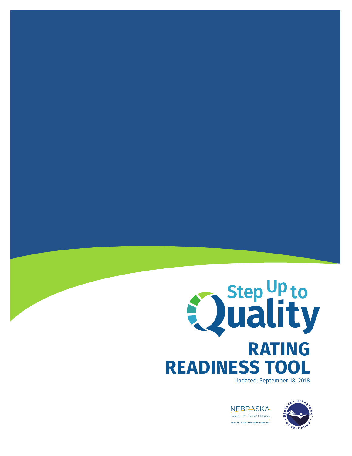# Step Up to **RATING READINESS TOOL** Updated: September 18, 2018

**NEBRASKA** Good Life, Great Mission, DEPT. OF HEALTH AND HUMAN SERVICES

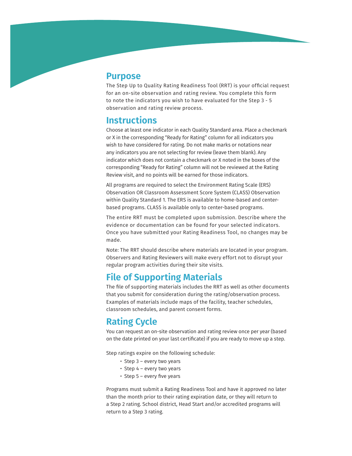### **Purpose**

The Step Up to Quality Rating Readiness Tool (RRT) is your official request for an on-site observation and rating review. You complete this form to note the indicators you wish to have evaluated for the Step 3 - 5 observation and rating review process.

### **Instructions**

Choose at least one indicator in each Quality Standard area. Place a checkmark or X in the corresponding "Ready for Rating" column for all indicators you wish to have considered for rating. Do not make marks or notations near any indicators you are not selecting for review (leave them blank). Any indicator which does not contain a checkmark or X noted in the boxes of the corresponding "Ready for Rating" column will not be reviewed at the Rating Review visit, and no points will be earned for those indicators.

All programs are required to select the Environment Rating Scale (ERS) Observation OR Classroom Assessment Score System (CLASS) Observation within Quality Standard 1. The ERS is available to home-based and centerbased programs. CLASS is available only to center-based programs.

The entire RRT must be completed upon submission. Describe where the evidence or documentation can be found for your selected indicators. Once you have submitted your Rating Readiness Tool, no changes may be made.

Note: The RRT should describe where materials are located in your program. Observers and Rating Reviewers will make every effort not to disrupt your regular program activities during their site visits.

# **File of Supporting Materials**

The file of supporting materials includes the RRT as well as other documents that you submit for consideration during the rating/observation process. Examples of materials include maps of the facility, teacher schedules, classroom schedules, and parent consent forms.

### **Rating Cycle**

You can request an on-site observation and rating review once per year (based on the date printed on your last certificate) if you are ready to move up a step.

Step ratings expire on the following schedule:

- Step 3 every two years
- Step 4 every two years
- Step 5 every five years

Programs must submit a Rating Readiness Tool and have it approved no later than the month prior to their rating expiration date, or they will return to a Step 2 rating. School district, Head Start and/or accredited programs will return to a Step 3 rating.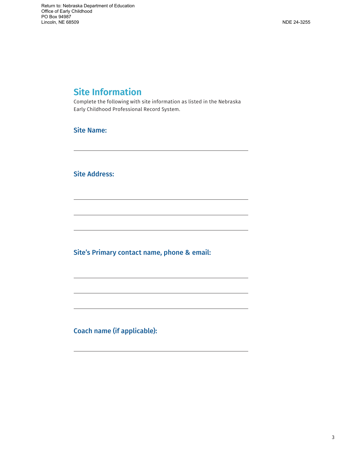Return to: Nebraska Department of Education Office of Early Childhood PO Box 94987 Lincoln, NE 68509

# **Site Information**

Complete the following with site information as listed in the Nebraska Early Childhood Professional Record System.

Site Name:

Site Address:

Site's Primary contact name, phone & email:

Coach name (if applicable):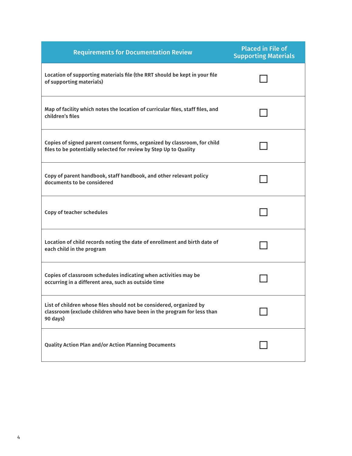| <b>Requirements for Documentation Review</b>                                                                                                              | <b>Placed in File of</b><br><b>Supporting Materials</b> |
|-----------------------------------------------------------------------------------------------------------------------------------------------------------|---------------------------------------------------------|
| Location of supporting materials file (the RRT should be kept in your file<br>of supporting materials)                                                    |                                                         |
| Map of facility which notes the location of curricular files, staff files, and<br>children's files                                                        |                                                         |
| Copies of signed parent consent forms, organized by classroom, for child<br>files to be potentially selected for review by Step Up to Quality             |                                                         |
| Copy of parent handbook, staff handbook, and other relevant policy<br>documents to be considered                                                          |                                                         |
| Copy of teacher schedules                                                                                                                                 |                                                         |
| Location of child records noting the date of enrollment and birth date of<br>each child in the program                                                    |                                                         |
| Copies of classroom schedules indicating when activities may be<br>occurring in a different area, such as outside time                                    |                                                         |
| List of children whose files should not be considered, organized by<br>classroom (exclude children who have been in the program for less than<br>90 days) |                                                         |
| <b>Quality Action Plan and/or Action Planning Documents</b>                                                                                               |                                                         |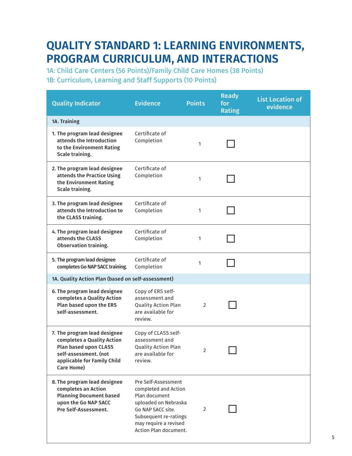# **QUALITY STANDARD 1: LEARNING ENVIRONMENTS, PROGRAM CURRICULUM, AND INTERACTIONS**

1A: Child Care Centers (56 Points)/Family Child Care Homes (38 Points) 1B: Curriculum, Learning and Staff Supports (10 Points)

| <b>Quality Indicator</b>                                                                                                                                         | <b>Evidence</b>                                                                                                                                                                      | <b>Points</b>  | <b>Ready</b><br>for<br><b>Rating</b> | <b>List Location of</b><br>evidence |
|------------------------------------------------------------------------------------------------------------------------------------------------------------------|--------------------------------------------------------------------------------------------------------------------------------------------------------------------------------------|----------------|--------------------------------------|-------------------------------------|
| 1A. Training                                                                                                                                                     |                                                                                                                                                                                      |                |                                      |                                     |
| 1. The program lead designee<br>attends the Introduction<br>to the Environment Rating<br>Scale training.                                                         | Certificate of<br>Completion                                                                                                                                                         | 1              |                                      |                                     |
| 2. The program lead designee<br>attends the Practice Using<br>the Environment Rating<br>Scale training.                                                          | Certificate of<br>Completion                                                                                                                                                         | 1              |                                      |                                     |
| 3. The program lead designee<br>attends the Introduction to<br>the CLASS training.                                                                               | Certificate of<br>Completion                                                                                                                                                         | 1              |                                      |                                     |
| 4. The program lead designee<br>attends the CLASS<br><b>Observation training.</b>                                                                                | Certificate of<br>Completion                                                                                                                                                         | 1              |                                      |                                     |
| 5. The program lead designee<br>completes Go NAP SACC training.                                                                                                  | Certificate of<br>Completion                                                                                                                                                         | 1              |                                      |                                     |
| 1A. Quality Action Plan (based on self-assessment)                                                                                                               |                                                                                                                                                                                      |                |                                      |                                     |
| 6. The program lead designee<br>completes a Quality Action<br>Plan based upon the ERS<br>self-assessment.                                                        | Copy of ERS self-<br>assessment and<br>Quality Action Plan<br>are available for<br>review.                                                                                           | 2              |                                      |                                     |
| 7. The program lead designee<br>completes a Quality Action<br><b>Plan based upon CLASS</b><br>self-assessment. (not<br>applicable for Family Child<br>Care Home) | Copy of CLASS self-<br>assessment and<br>Quality Action Plan<br>are available for<br>review.                                                                                         | 2              |                                      |                                     |
| 8. The program lead designee<br>completes an Action<br><b>Planning Document based</b><br>upon the Go NAP SACC<br>Pre Self-Assessment.                            | Pre Self-Assessment<br>completed and Action<br>Plan document<br>uploaded on Nebraska<br>Go NAP SACC site.<br>Subsequent re-ratings<br>may require a revised<br>Action Plan document. | $\overline{2}$ |                                      |                                     |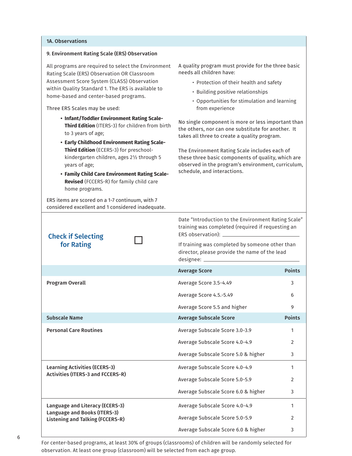| 1A. Observations                                                                                                                                                                                                                                                                                                                                                                                                                                                                                                                                                                                                                                                                                                                                                                               |                                                                                                                                                                                                                                                                                                                                                                                                                                                                                                                                                                                           |                |  |
|------------------------------------------------------------------------------------------------------------------------------------------------------------------------------------------------------------------------------------------------------------------------------------------------------------------------------------------------------------------------------------------------------------------------------------------------------------------------------------------------------------------------------------------------------------------------------------------------------------------------------------------------------------------------------------------------------------------------------------------------------------------------------------------------|-------------------------------------------------------------------------------------------------------------------------------------------------------------------------------------------------------------------------------------------------------------------------------------------------------------------------------------------------------------------------------------------------------------------------------------------------------------------------------------------------------------------------------------------------------------------------------------------|----------------|--|
| 9. Environment Rating Scale (ERS) Observation                                                                                                                                                                                                                                                                                                                                                                                                                                                                                                                                                                                                                                                                                                                                                  |                                                                                                                                                                                                                                                                                                                                                                                                                                                                                                                                                                                           |                |  |
| All programs are required to select the Environment<br>Rating Scale (ERS) Observation OR Classroom<br>Assessment Score System (CLASS) Observation<br>within Quality Standard 1. The ERS is available to<br>home-based and center-based programs.<br>Three ERS Scales may be used:<br>• Infant/Toddler Environment Rating Scale-<br>Third Edition (ITERS-3) for children from birth<br>to 3 years of age;<br>• Early Childhood Environment Rating Scale-<br>Third Edition (ECERS-3) for preschool-<br>kindergarten children, ages 21/2 through 5<br>years of age;<br>• Family Child Care Environment Rating Scale-<br><b>Revised</b> (FCCERS-R) for family child care<br>home programs.<br>ERS items are scored on a 1-7 continuum, with 7<br>considered excellent and 1 considered inadequate. | A quality program must provide for the three basic<br>needs all children have:<br>• Protection of their health and safety<br>• Building positive relationships<br>• Opportunities for stimulation and learning<br>from experience<br>No single component is more or less important than<br>the others, nor can one substitute for another. It<br>takes all three to create a quality program.<br>The Environment Rating Scale includes each of<br>these three basic components of quality, which are<br>observed in the program's environment, curriculum,<br>schedule, and interactions. |                |  |
| <b>Check if Selecting</b><br>for Rating                                                                                                                                                                                                                                                                                                                                                                                                                                                                                                                                                                                                                                                                                                                                                        | Date "Introduction to the Environment Rating Scale"<br>training was completed (required if requesting an<br>If training was completed by someone other than<br>director, please provide the name of the lead<br>designee: ____                                                                                                                                                                                                                                                                                                                                                            |                |  |
|                                                                                                                                                                                                                                                                                                                                                                                                                                                                                                                                                                                                                                                                                                                                                                                                | <b>Average Score</b>                                                                                                                                                                                                                                                                                                                                                                                                                                                                                                                                                                      | <b>Points</b>  |  |
| <b>Program Overall</b>                                                                                                                                                                                                                                                                                                                                                                                                                                                                                                                                                                                                                                                                                                                                                                         | Average Score 3.5-4.49                                                                                                                                                                                                                                                                                                                                                                                                                                                                                                                                                                    | 3              |  |
|                                                                                                                                                                                                                                                                                                                                                                                                                                                                                                                                                                                                                                                                                                                                                                                                | Average Score 4.5.-5.49                                                                                                                                                                                                                                                                                                                                                                                                                                                                                                                                                                   | 6              |  |
|                                                                                                                                                                                                                                                                                                                                                                                                                                                                                                                                                                                                                                                                                                                                                                                                | Average Score 5.5 and higher                                                                                                                                                                                                                                                                                                                                                                                                                                                                                                                                                              | 9              |  |
| <b>Subscale Name</b>                                                                                                                                                                                                                                                                                                                                                                                                                                                                                                                                                                                                                                                                                                                                                                           | <b>Average Subscale Score</b>                                                                                                                                                                                                                                                                                                                                                                                                                                                                                                                                                             | <b>Points</b>  |  |
| <b>Personal Care Routines</b>                                                                                                                                                                                                                                                                                                                                                                                                                                                                                                                                                                                                                                                                                                                                                                  | Average Subscale Score 3.0-3.9                                                                                                                                                                                                                                                                                                                                                                                                                                                                                                                                                            | 1              |  |
|                                                                                                                                                                                                                                                                                                                                                                                                                                                                                                                                                                                                                                                                                                                                                                                                | Average Subscale Score 4.0-4.9                                                                                                                                                                                                                                                                                                                                                                                                                                                                                                                                                            | 2              |  |
|                                                                                                                                                                                                                                                                                                                                                                                                                                                                                                                                                                                                                                                                                                                                                                                                | Average Subscale Score 5.0 & higher                                                                                                                                                                                                                                                                                                                                                                                                                                                                                                                                                       | 3              |  |
| <b>Learning Activities (ECERS-3)</b>                                                                                                                                                                                                                                                                                                                                                                                                                                                                                                                                                                                                                                                                                                                                                           | Average Subscale Score 4.0-4.9                                                                                                                                                                                                                                                                                                                                                                                                                                                                                                                                                            | 1              |  |
| Activities (ITERS-3 and FCCERS-R)                                                                                                                                                                                                                                                                                                                                                                                                                                                                                                                                                                                                                                                                                                                                                              | Average Subscale Score 5.0-5.9                                                                                                                                                                                                                                                                                                                                                                                                                                                                                                                                                            |                |  |
|                                                                                                                                                                                                                                                                                                                                                                                                                                                                                                                                                                                                                                                                                                                                                                                                | Average Subscale Score 6.0 & higher                                                                                                                                                                                                                                                                                                                                                                                                                                                                                                                                                       | 3              |  |
| Language and Literacy (ECERS-3)                                                                                                                                                                                                                                                                                                                                                                                                                                                                                                                                                                                                                                                                                                                                                                | Average Subscale Score 4.0-4.9                                                                                                                                                                                                                                                                                                                                                                                                                                                                                                                                                            | 1              |  |
| Language and Books (ITERS-3)<br>Listening and Talking (FCCERS-R)                                                                                                                                                                                                                                                                                                                                                                                                                                                                                                                                                                                                                                                                                                                               | Average Subscale Score 5.0-5.9                                                                                                                                                                                                                                                                                                                                                                                                                                                                                                                                                            | $\overline{2}$ |  |

For center-based programs, at least 30% of groups (classrooms) of children will be randomly selected for observation. At least one group (classroom) will be selected from each age group.

Average Subscale Score 6.0 & higher

3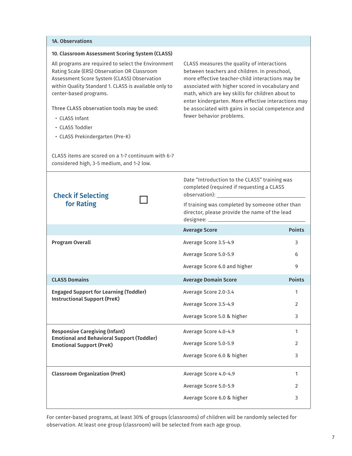#### 1A. Observations

### 10. Classroom Assessment Scoring System (CLASS) All programs are required to select the Environment Rating Scale (ERS) Observation OR Classroom Assessment Score System (CLASS) Observation within Quality Standard 1. CLASS is available only to center-based programs. Three CLASS observation tools may be used: • CLASS Infant

- CLASS Toddler
- CLASS Prekindergarten (Pre-K)

CLASS items are scored on a 1-7 continuum with 6-7 considered high, 3-5 medium, and 1-2 low.

CLASS measures the quality of interactions between teachers and children. In preschool, more effective teacher-child interactions may be associated with higher scored in vocabulary and math, which are key skills for children about to enter kindergarten. More effective interactions may be associated with gains in social competence and fewer behavior problems.

| <b>Check if Selecting</b><br>for Rating                                              |  | Date "Introduction to the CLASS" training was<br>completed (required if requesting a CLASS<br>observation): which is a series of the series of the series of the series of the series of the series of the series of the series of the series of the series of the series of the series of the series of the series of the s |                |  |  |
|--------------------------------------------------------------------------------------|--|------------------------------------------------------------------------------------------------------------------------------------------------------------------------------------------------------------------------------------------------------------------------------------------------------------------------------|----------------|--|--|
|                                                                                      |  | If training was completed by someone other than<br>director, please provide the name of the lead                                                                                                                                                                                                                             |                |  |  |
|                                                                                      |  | <b>Average Score</b>                                                                                                                                                                                                                                                                                                         | <b>Points</b>  |  |  |
| Program Overall                                                                      |  | Average Score 3.5-4.9                                                                                                                                                                                                                                                                                                        | 3              |  |  |
|                                                                                      |  | Average Score 5.0-5.9                                                                                                                                                                                                                                                                                                        | 6              |  |  |
|                                                                                      |  | Average Score 6.0 and higher                                                                                                                                                                                                                                                                                                 | 9              |  |  |
| <b>CLASS Domains</b>                                                                 |  | <b>Average Domain Score</b>                                                                                                                                                                                                                                                                                                  | <b>Points</b>  |  |  |
| <b>Engaged Support for Learning (Toddler)</b><br><b>Instructional Support (PreK)</b> |  | Average Score 2.0-3.4                                                                                                                                                                                                                                                                                                        | 1              |  |  |
|                                                                                      |  | Average Score 3.5-4.9                                                                                                                                                                                                                                                                                                        | $\overline{2}$ |  |  |
|                                                                                      |  | Average Score 5.0 & higher                                                                                                                                                                                                                                                                                                   | 3              |  |  |
| <b>Responsive Caregiving (Infant)</b>                                                |  | Average Score 4.0-4.9                                                                                                                                                                                                                                                                                                        | 1              |  |  |
| <b>Emotional and Behavioral Support (Toddler)</b><br><b>Emotional Support (PreK)</b> |  | Average Score 5.0-5.9                                                                                                                                                                                                                                                                                                        | $\overline{2}$ |  |  |
|                                                                                      |  | Average Score 6.0 & higher                                                                                                                                                                                                                                                                                                   | 3              |  |  |
| <b>Classroom Organization (PreK)</b>                                                 |  | Average Score 4.0-4.9                                                                                                                                                                                                                                                                                                        | 1              |  |  |
|                                                                                      |  | Average Score 5.0-5.9                                                                                                                                                                                                                                                                                                        | $\overline{2}$ |  |  |
|                                                                                      |  | Average Score 6.0 & higher                                                                                                                                                                                                                                                                                                   | 3              |  |  |

For center-based programs, at least 30% of groups (classrooms) of children will be randomly selected for observation. At least one group (classroom) will be selected from each age group.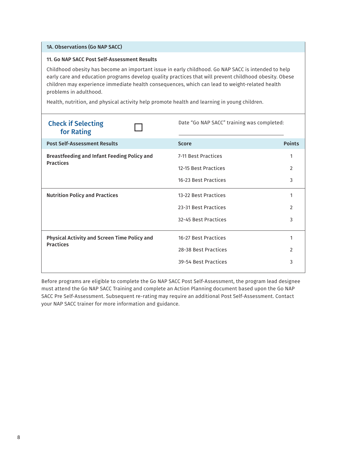#### 1A. Observations (Go NAP SACC)

#### 11. Go NAP SACC Post Self-Assessment Results

Childhood obesity has become an important issue in early childhood. Go NAP SACC is intended to help early care and education programs develop quality practices that will prevent childhood obesity. Obese children may experience immediate health consequences, which can lead to weight-related health problems in adulthood.

Health, nutrition, and physical activity help promote health and learning in young children.

| <b>Score</b>         | <b>Points</b>                              |
|----------------------|--------------------------------------------|
| 7-11 Best Practices  | 1                                          |
| 12-15 Best Practices | 2                                          |
| 16-23 Best Practices | 3                                          |
| 13-22 Best Practices | 1                                          |
| 23-31 Best Practices | $\mathcal{P}$                              |
| 32-45 Best Practices | 3                                          |
| 16-27 Best Practices |                                            |
| 28-38 Best Practices | 2                                          |
| 39-54 Best Practices | 3                                          |
|                      | Date "Go NAP SACC" training was completed: |

Before programs are eligible to complete the Go NAP SACC Post Self-Assessment, the program lead designee must attend the Go NAP SACC Training and complete an Action Planning document based upon the Go NAP SACC Pre Self-Assessment. Subsequent re-rating may require an additional Post Self-Assessment. Contact your NAP SACC trainer for more information and guidance.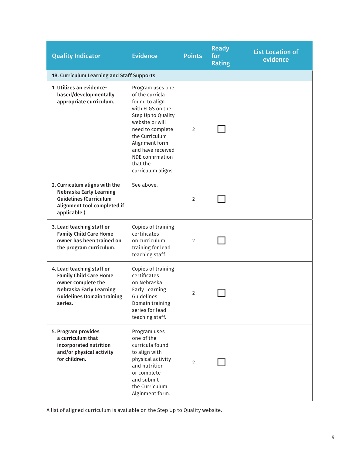| <b>Quality Indicator</b>                                                                                                                                    | <b>Evidence</b>                                                                                                                                                                                                                                       | <b>Points</b>  | <b>Ready</b><br>for<br><b>Rating</b> | <b>List Location of</b><br>evidence |
|-------------------------------------------------------------------------------------------------------------------------------------------------------------|-------------------------------------------------------------------------------------------------------------------------------------------------------------------------------------------------------------------------------------------------------|----------------|--------------------------------------|-------------------------------------|
| 1B. Curriculum Learning and Staff Supports                                                                                                                  |                                                                                                                                                                                                                                                       |                |                                      |                                     |
| 1. Utilizes an evidence-<br>based/developmentally<br>appropriate curriculum.                                                                                | Program uses one<br>of the curricla<br>found to align<br>with ELGS on the<br>Step Up to Quality<br>website or will<br>need to complete<br>the Curriculum<br>Alignment form<br>and have received<br>NDE confirmation<br>that the<br>curriculum aligns. | $\overline{2}$ |                                      |                                     |
| 2. Curriculum aligns with the<br>Nebraska Early Learning<br><b>Guidelines (Curriculum</b><br>Alignment tool completed if<br>applicable.)                    | See above.                                                                                                                                                                                                                                            | 2              |                                      |                                     |
| 3. Lead teaching staff or<br><b>Family Child Care Home</b><br>owner has been trained on<br>the program curriculum.                                          | Copies of training<br>certificates<br>on curriculum<br>training for lead<br>teaching staff.                                                                                                                                                           | $\overline{2}$ |                                      |                                     |
| 4. Lead teaching staff or<br><b>Family Child Care Home</b><br>owner complete the<br>Nebraska Early Learning<br><b>Guidelines Domain training</b><br>series. | Copies of training<br>certificates<br>on Nebraska<br><b>Early Learning</b><br>Guidelines<br>Domain training<br>series for lead<br>teaching staff.                                                                                                     | $\overline{2}$ |                                      |                                     |
| 5. Program provides<br>a curriculum that<br>incorporated nutrition<br>and/or physical activity<br>for children.                                             | Program uses<br>one of the<br>curricula found<br>to align with<br>physical activity<br>and nutrition<br>or complete<br>and submit<br>the Curriculum<br>Alginment form.                                                                                | $\overline{2}$ |                                      |                                     |

A list of aligned curriculum is available on the Step Up to Quality website.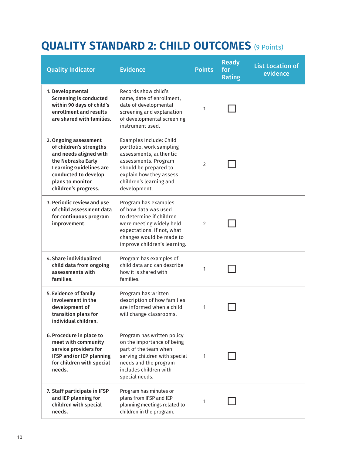# **QUALITY STANDARD 2: CHILD OUTCOMES** (9 Points)

| <b>Quality Indicator</b>                                                                                                                                                                               | <b>Evidence</b>                                                                                                                                                                                      | <b>Points</b>  | <b>Ready</b><br>for<br><b>Rating</b> | <b>List Location of</b><br>evidence |
|--------------------------------------------------------------------------------------------------------------------------------------------------------------------------------------------------------|------------------------------------------------------------------------------------------------------------------------------------------------------------------------------------------------------|----------------|--------------------------------------|-------------------------------------|
| 1. Developmental<br><b>Screening is conducted</b><br>within 90 days of child's<br>enrollment and results<br>are shared with families.                                                                  | Records show child's<br>name, date of enrollment,<br>date of developmental<br>screening and explanation<br>of developmental screening<br>instrument used.                                            | 1              |                                      |                                     |
| 2. Ongoing assessment<br>of children's strengths<br>and needs aligned with<br>the Nebraska Early<br><b>Learning Guidelines are</b><br>conducted to develop<br>plans to monitor<br>children's progress. | Examples include: Child<br>portfolio, work sampling<br>assessments, authentic<br>assessments. Program<br>should be prepared to<br>explain how they assess<br>children's learning and<br>development. | $\overline{2}$ |                                      |                                     |
| 3. Periodic review and use<br>of child assessment data<br>for continuous program<br>improvement.                                                                                                       | Program has examples<br>of how data was used<br>to determine if children<br>were meeting widely held<br>expectations. If not, what<br>changes would be made to<br>improve children's learning.       | 2              |                                      |                                     |
| 4. Share individualized<br>child data from ongoing<br>assessments with<br>families.                                                                                                                    | Program has examples of<br>child data and can describe<br>how it is shared with<br>families.                                                                                                         | 1              |                                      |                                     |
| 5. Evidence of family<br>involvement in the<br>development of<br>transition plans for<br>individual children.                                                                                          | Program has written<br>description of how families<br>are informed when a child<br>will change classrooms.                                                                                           | 1              |                                      |                                     |
| 6. Procedure in place to<br>meet with community<br>service providers for<br>IFSP and/or IEP planning<br>for children with special<br>needs.                                                            | Program has written policy<br>on the importance of being<br>part of the team when<br>serving children with special<br>needs and the program<br>includes children with<br>special needs.              | 1              |                                      |                                     |
| 7. Staff participate in IFSP<br>and IEP planning for<br>children with special<br>needs.                                                                                                                | Program has minutes or<br>plans from IFSP and IEP<br>planning meetings related to<br>children in the program.                                                                                        | 1              |                                      |                                     |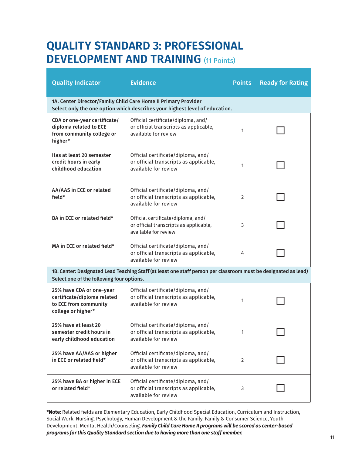# **QUALITY STANDARD 3: PROFESSIONAL DEVELOPMENT AND TRAINING** (11 Points)

| <b>Quality Indicator</b>                                                                               | <b>Evidence</b>                                                                                                                               | <b>Points</b>  | <b>Ready for Rating</b> |
|--------------------------------------------------------------------------------------------------------|-----------------------------------------------------------------------------------------------------------------------------------------------|----------------|-------------------------|
|                                                                                                        | 1A. Center Director/Family Child Care Home II Primary Provider<br>Select only the one option which describes your highest level of education. |                |                         |
| CDA or one-year certificate/<br>diploma related to ECE<br>from community college or<br>higher*         | Official certificate/diploma, and/<br>or official transcripts as applicable,<br>available for review                                          | 1              |                         |
| Has at least 20 semester<br>credit hours in early<br>childhood education                               | Official certificate/diploma, and/<br>or official transcripts as applicable,<br>available for review                                          | 1              |                         |
| AA/AAS in ECE or related<br>field*                                                                     | Official certificate/diploma, and/<br>or official transcripts as applicable,<br>available for review                                          | $\overline{2}$ |                         |
| BA in ECE or related field*                                                                            | Official certificate/diploma, and/<br>or official transcripts as applicable,<br>available for review                                          | 3              |                         |
| MA in ECE or related field*                                                                            | Official certificate/diploma, and/<br>or official transcripts as applicable,<br>available for review                                          | $\overline{4}$ |                         |
| Select one of the following four options.                                                              | 1B. Center: Designated Lead Teaching Staff (at least one staff person per classroom must be designated as lead)                               |                |                         |
| 25% have CDA or one-year<br>certificate/diploma related<br>to ECE from community<br>college or higher* | Official certificate/diploma, and/<br>or official transcripts as applicable,<br>available for review                                          | 1              |                         |
| 25% have at least 20<br>semester credit hours in<br>early childhood education                          | Official certificate/diploma, and/<br>or official transcripts as applicable,<br>available for review                                          |                |                         |
| 25% have AA/AAS or higher<br>in ECE or related field*                                                  | Official certificate/diploma, and/<br>or official transcripts as applicable,<br>available for review                                          | 2              |                         |
| 25% have BA or higher in ECE<br>or related field*                                                      | Official certificate/diploma, and/<br>or official transcripts as applicable,<br>available for review                                          | 3              |                         |

**\*Note:** Related fields are Elementary Education, Early Childhood Special Education, Curriculum and Instruction, Social Work, Nursing, Psychology, Human Development & the Family, Family & Consumer Science, Youth Development, Mental Health/Counseling. *Family Child Care Home II programs will be scored as center-based programs for this Quality Standard section due to having more than one staff member.*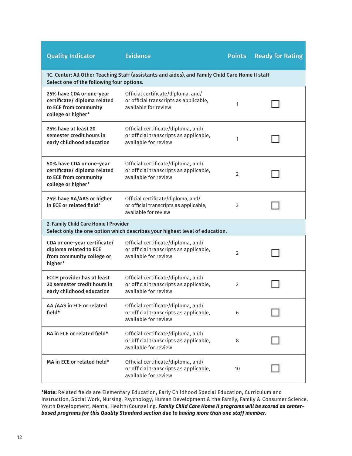| <b>Quality Indicator</b>                                                                                | <b>Evidence</b>                                                                                      | <b>Points</b>  | <b>Ready for Rating</b> |
|---------------------------------------------------------------------------------------------------------|------------------------------------------------------------------------------------------------------|----------------|-------------------------|
| Select one of the following four options.                                                               | 1C. Center: All Other Teaching Staff (assistants and aides), and Family Child Care Home II staff     |                |                         |
| 25% have CDA or one-year<br>certificate/ diploma related<br>to ECE from community<br>college or higher* | Official certificate/diploma, and/<br>or official transcripts as applicable,<br>available for review | 1              |                         |
| 25% have at least 20<br>semester credit hours in<br>early childhood education                           | Official certificate/diploma, and/<br>or official transcripts as applicable,<br>available for review | 1              |                         |
| 50% have CDA or one-year<br>certificate/ diploma related<br>to ECE from community<br>college or higher* | Official certificate/diploma, and/<br>or official transcripts as applicable,<br>available for review | $\overline{2}$ |                         |
| 25% have AA/AAS or higher<br>in ECE or related field*                                                   | Official certificate/diploma, and/<br>or official transcripts as applicable,<br>available for review | 3              |                         |
| 2. Family Child Care Home I Provider                                                                    | Select only the one option which describes your highest level of education.                          |                |                         |
| CDA or one-year certificate/<br>diploma related to ECE<br>from community college or<br>higher*          | Official certificate/diploma, and/<br>or official transcripts as applicable,<br>available for review | $\overline{2}$ |                         |
| FCCH provider has at least<br>20 semester credit hours in<br>early childhood education                  | Official certificate/diploma, and/<br>or official transcripts as applicable,<br>available for review | $\overline{2}$ |                         |
| AA /AAS in ECE or related<br>field*                                                                     | Official certificate/diploma, and/<br>or official transcripts as applicable,<br>available for review | 6              |                         |
| BA in ECE or related field*                                                                             | Official certificate/diploma, and/<br>or official transcripts as applicable,<br>available for review | 8              |                         |
| MA in ECE or related field*                                                                             | Official certificate/diploma, and/<br>or official transcripts as applicable,<br>available for review | 10             |                         |

**\*Note:** Related fields are Elementary Education, Early Childhood Special Education, Curriculum and Instruction, Social Work, Nursing, Psychology, Human Development & the Family, Family & Consumer Science, Youth Development, Mental Health/Counseling. *Family Child Care Home II programs will be scored as centerbased programs for this Quality Standard section due to having more than one staff member.*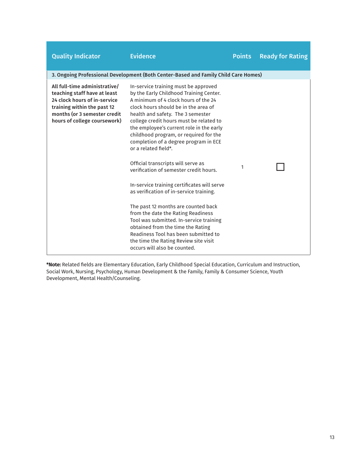| <b>Quality Indicator</b>                                                                                                                                                                     | <b>Evidence</b>                                                                                                                                                                                                                                                                                                                                                                                                                                                                                                                                                                                                                                                                                                                                                                                                                                                | <b>Points</b> | <b>Ready for Rating</b> |
|----------------------------------------------------------------------------------------------------------------------------------------------------------------------------------------------|----------------------------------------------------------------------------------------------------------------------------------------------------------------------------------------------------------------------------------------------------------------------------------------------------------------------------------------------------------------------------------------------------------------------------------------------------------------------------------------------------------------------------------------------------------------------------------------------------------------------------------------------------------------------------------------------------------------------------------------------------------------------------------------------------------------------------------------------------------------|---------------|-------------------------|
|                                                                                                                                                                                              | 3. Ongoing Professional Development (Both Center-Based and Family Child Care Homes)                                                                                                                                                                                                                                                                                                                                                                                                                                                                                                                                                                                                                                                                                                                                                                            |               |                         |
| All full-time administrative/<br>teaching staff have at least<br>24 clock hours of in-service<br>training within the past 12<br>months (or 3 semester credit<br>hours of college coursework) | In-service training must be approved<br>by the Early Childhood Training Center.<br>A minimum of 4 clock hours of the 24<br>clock hours should be in the area of<br>health and safety. The 3 semester<br>college credit hours must be related to<br>the employee's current role in the early<br>childhood program, or required for the<br>completion of a degree program in ECE<br>or a related field*.<br>Official transcripts will serve as<br>verification of semester credit hours.<br>In-service training certificates will serve<br>as verification of in-service training.<br>The past 12 months are counted back<br>from the date the Rating Readiness<br>Tool was submitted. In-service training<br>obtained from the time the Rating<br>Readiness Tool has been submitted to<br>the time the Rating Review site visit<br>occurs will also be counted. | 1             |                         |

**\*Note:** Related fields are Elementary Education, Early Childhood Special Education, Curriculum and Instruction, Social Work, Nursing, Psychology, Human Development & the Family, Family & Consumer Science, Youth Development, Mental Health/Counseling.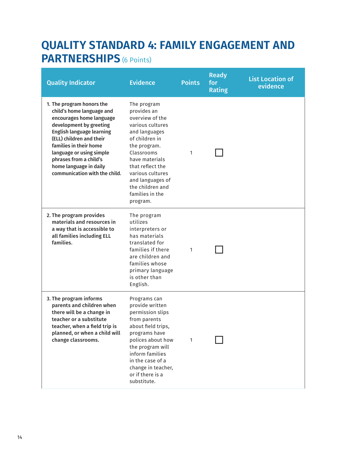# **QUALITY STANDARD 4: FAMILY ENGAGEMENT AND PARTNERSHIPS** (6 Points)

| <b>Quality Indicator</b>                                                                                                                                                                                                                                                                                                 | <b>Evidence</b>                                                                                                                                                                                                                                                     | <b>Points</b> | <b>Ready</b><br>for<br><b>Rating</b> | <b>List Location of</b><br>evidence |
|--------------------------------------------------------------------------------------------------------------------------------------------------------------------------------------------------------------------------------------------------------------------------------------------------------------------------|---------------------------------------------------------------------------------------------------------------------------------------------------------------------------------------------------------------------------------------------------------------------|---------------|--------------------------------------|-------------------------------------|
| 1. The program honors the<br>child's home language and<br>encourages home language<br>development by greeting<br><b>English language learning</b><br>(ELL) children and their<br>families in their home<br>language or using simple<br>phrases from a child's<br>home language in daily<br>communication with the child. | The program<br>provides an<br>overview of the<br>various cultures<br>and languages<br>of children in<br>the program.<br>Classrooms<br>have materials<br>that reflect the<br>various cultures<br>and languages of<br>the children and<br>families in the<br>program. | 1             |                                      |                                     |
| 2. The program provides<br>materials and resources in<br>a way that is accessible to<br>all families including ELL<br>families.                                                                                                                                                                                          | The program<br>utilizes<br>interpreters or<br>has materials<br>translated for<br>families if there<br>are children and<br>families whose<br>primary language<br>is other than<br>English.                                                                           | 1             |                                      |                                     |
| 3. The program informs<br>parents and children when<br>there will be a change in<br>teacher or a substitute<br>teacher, when a field trip is<br>planned, or when a child will<br>change classrooms.                                                                                                                      | Programs can<br>provide written<br>permission slips<br>from parents<br>about field trips,<br>programs have<br>polices about how<br>the program will<br>inform families<br>in the case of a<br>change in teacher,<br>or if there is a<br>substitute.                 | 1             |                                      |                                     |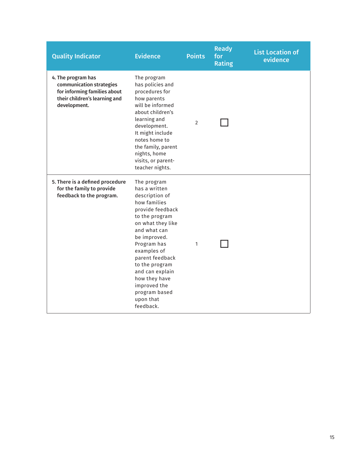| <b>Quality Indicator</b>                                                                                                        | <b>Evidence</b>                                                                                                                                                                                                                                                                                                             | <b>Points</b> | <b>Ready</b><br>for<br><b>Rating</b> | <b>List Location of</b><br>evidence |
|---------------------------------------------------------------------------------------------------------------------------------|-----------------------------------------------------------------------------------------------------------------------------------------------------------------------------------------------------------------------------------------------------------------------------------------------------------------------------|---------------|--------------------------------------|-------------------------------------|
| 4. The program has<br>communication strategies<br>for informing families about<br>their children's learning and<br>development. | The program<br>has policies and<br>procedures for<br>how parents<br>will be informed<br>about children's<br>learning and<br>development.<br>It might include<br>notes home to<br>the family, parent<br>nights, home<br>visits, or parent-<br>teacher nights.                                                                | 2             |                                      |                                     |
| 5. There is a defined procedure<br>for the family to provide<br>feedback to the program.                                        | The program<br>has a written<br>description of<br>how families<br>provide feedback<br>to the program<br>on what they like<br>and what can<br>be improved.<br>Program has<br>examples of<br>parent feedback<br>to the program<br>and can explain<br>how they have<br>improved the<br>program based<br>upon that<br>feedback. | 1             |                                      |                                     |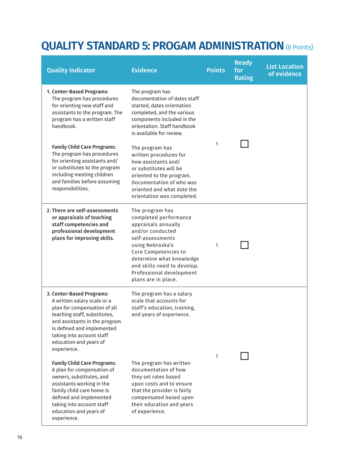# **QUALITY STANDARD 5: PROGAM ADMINISTRATION** (8 Points)

| <b>Quality Indicator</b>                                                                                                                                                                                                                                      | <b>Evidence</b>                                                                                                                                                                                                                                                   | <b>Points</b> | <b>Ready</b><br>for<br><b>Rating</b> | <b>List Location</b><br>of evidence |
|---------------------------------------------------------------------------------------------------------------------------------------------------------------------------------------------------------------------------------------------------------------|-------------------------------------------------------------------------------------------------------------------------------------------------------------------------------------------------------------------------------------------------------------------|---------------|--------------------------------------|-------------------------------------|
| 1. Center-Based Programs:<br>The program has procedures<br>for orienting new staff and<br>assistants to the program. The<br>program has a written staff<br>handbook.                                                                                          | The program has<br>documentation of dates staff<br>started, dates orientation<br>completed, and the various<br>components included in the<br>orientation. Staff handbook<br>is available for review.                                                              |               |                                      |                                     |
| <b>Family Child Care Programs:</b><br>The program has procedures<br>for orienting assistants and/<br>or substitutes to the program<br>including meeting children<br>and families before assuming<br>responsibilities.                                         | The program has<br>written procedures for<br>how assistants and/<br>or substitutes will be<br>oriented to the program.<br>Documentation of who was<br>oriented and what date the<br>orientation was completed.                                                    | 1             |                                      |                                     |
| 2. There are self-assessments<br>or appraisals of teaching<br>staff competencies and<br>professional development<br>plans for improving skills.                                                                                                               | The program has<br>completed performance<br>appraisals annually<br>and/or conducted<br>self-assessments<br>using Nebraska's<br>Core Competencies to<br>determine what knowledge<br>and skills need to develop.<br>Professional development<br>plans are in place. | 1             |                                      |                                     |
| 3. Center-Based Programs:<br>A written salary scale or a<br>plan for compensation of all<br>teaching staff, substitutes,<br>and assistants in the program<br>is defined and implemented<br>taking into account staff<br>education and years of<br>experience. | The program has a salary<br>scale that accounts for<br>staff's education, training,<br>and years of experience.                                                                                                                                                   | 1             |                                      |                                     |
| <b>Family Child Care Programs:</b><br>A plan for compensation of<br>owners, substitutes, and<br>assistants working in the<br>family child care home is<br>defined and implemented<br>taking into account staff<br>education and years of<br>experience.       | The program has written<br>documentation of how<br>they set rates based<br>upon costs and to ensure<br>that the provider is fairly<br>compensated based upon<br>their education and years<br>of experience.                                                       |               |                                      |                                     |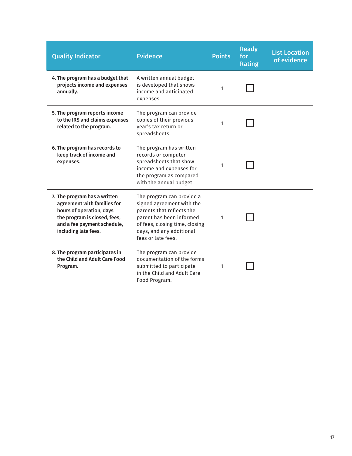| <b>Quality Indicator</b>                                                                                                                                                       | <b>Evidence</b>                                                                                                                                                                                     | <b>Points</b> | <b>Ready</b><br>for<br><b>Rating</b> | <b>List Location</b><br>of evidence |
|--------------------------------------------------------------------------------------------------------------------------------------------------------------------------------|-----------------------------------------------------------------------------------------------------------------------------------------------------------------------------------------------------|---------------|--------------------------------------|-------------------------------------|
| 4. The program has a budget that<br>projects income and expenses<br>annually.                                                                                                  | A written annual budget<br>is developed that shows<br>income and anticipated<br>expenses.                                                                                                           | 1             |                                      |                                     |
| 5. The program reports income<br>to the IRS and claims expenses<br>related to the program.                                                                                     | The program can provide<br>copies of their previous<br>year's tax return or<br>spreadsheets.                                                                                                        | 1             |                                      |                                     |
| 6. The program has records to<br>keep track of income and<br>expenses.                                                                                                         | The program has written<br>records or computer<br>spreadsheets that show<br>income and expenses for<br>the program as compared<br>with the annual budget.                                           | 1             |                                      |                                     |
| 7. The program has a written<br>agreement with families for<br>hours of operation, days<br>the program is closed, fees,<br>and a fee payment schedule,<br>including late fees. | The program can provide a<br>signed agreement with the<br>parents that reflects the<br>parent has been informed<br>of fees, closing time, closing<br>days, and any additional<br>fees or late fees. | 1             |                                      |                                     |
| 8. The program participates in<br>the Child and Adult Care Food<br>Program.                                                                                                    | The program can provide<br>documentation of the forms<br>submitted to participate<br>in the Child and Adult Care<br>Food Program.                                                                   | 1             |                                      |                                     |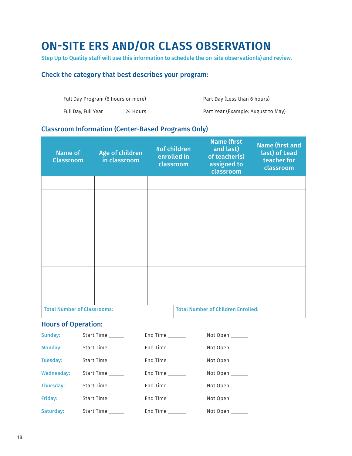# **ON-SITE ERS AND/OR CLASS OBSERVATION**

Step Up to Quality staff will use this information to schedule the on-site observation(s) and review.

### Check the category that best describes your program:

| Full Day Program (6 hours or more) |          | Part Day (Less than 6 hours)       |  |
|------------------------------------|----------|------------------------------------|--|
| Full Day, Full Year                | 24 Hours | Part Year (Example: August to May) |  |

## Classroom Information (Center-Based Programs Only)

| <b>Name of</b><br><b>Classroom</b> | Age of children<br>in classroom | #of children<br>enrolled in<br>classroom | <b>Name (first</b><br>and last)<br>of teacher(s)<br>assigned to<br>classroom | <b>Name (first and</b><br>last) of Lead<br>teacher for<br>classroom |
|------------------------------------|---------------------------------|------------------------------------------|------------------------------------------------------------------------------|---------------------------------------------------------------------|
|                                    |                                 |                                          |                                                                              |                                                                     |
|                                    |                                 |                                          |                                                                              |                                                                     |
|                                    |                                 |                                          |                                                                              |                                                                     |
|                                    |                                 |                                          |                                                                              |                                                                     |
|                                    |                                 |                                          |                                                                              |                                                                     |
|                                    |                                 |                                          |                                                                              |                                                                     |
|                                    |                                 |                                          |                                                                              |                                                                     |
|                                    |                                 |                                          |                                                                              |                                                                     |
|                                    |                                 |                                          |                                                                              |                                                                     |
|                                    |                                 |                                          |                                                                              |                                                                     |
| <b>Total Number of Classrooms:</b> |                                 |                                          | <b>Total Number of Children Enrolled:</b>                                    |                                                                     |

### Hours of Operation:

| <b>Sunday:</b>    | Start Time        | End Time $\_\_\_\_\_\_\_\_\_\$   | Not Open ______ |
|-------------------|-------------------|----------------------------------|-----------------|
| <b>Monday:</b>    | Start Time ______ | End Time $\_\_\_\_\_\_\_\_\$     | Not Open        |
| Tuesday:          | Start Time ______ | End Time $\_\_\_\_\_\_\_\_\_\$   | Not Open        |
| <b>Wednesday:</b> | Start Time ______ | End Time                         | Not Open        |
| Thursday:         | Start Time ______ | End Time $\_\_\_\_\_\_\_\_\_\$   | Not Open        |
| Friday:           | Start Time ______ | End Time $\_\_\_\_\_\_\_\_\_\_\$ | Not Open        |
| Saturday:         | Start Time ______ | End Time $\_\_\_\_\_\_\_\_\_\$   | Not Open        |